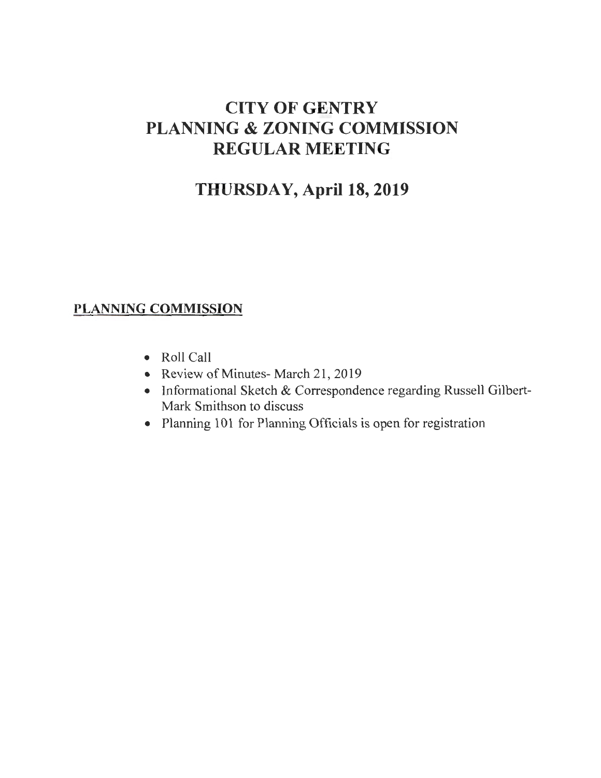# CITY OF GENTRY PLANNING & ZONING COMMISSION REGULAR MEETING

## THURSDAY, April 18, 2019

## PLANNING COMMISSION

- Roll Call
- Review of Minutes- March 21, 2019
- Informational Sketch & Correspondence regarding Russell Gilbert-Mark Smithson to discuss
- Planning 101 for Planning Officials is open for registration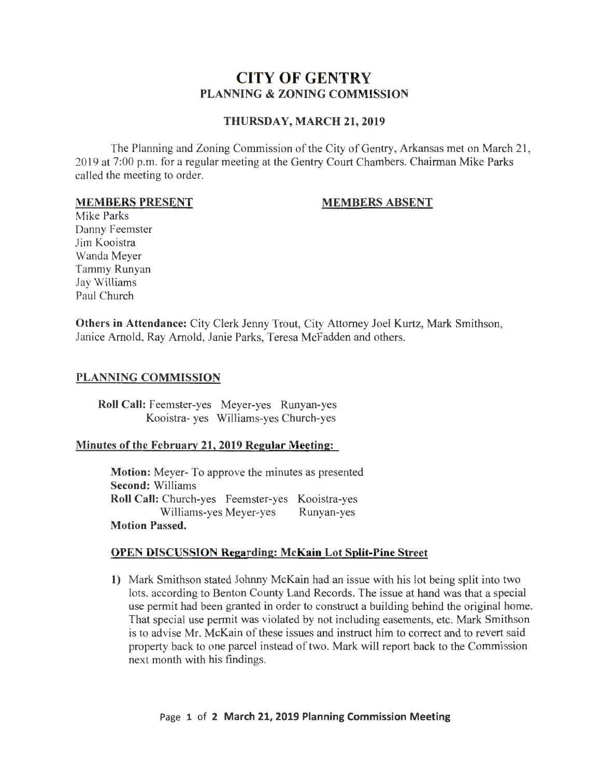### **CITY OF GENTRY PLANNING & ZONING COMMISSION**

#### **THURSDAY, MARCH 21,2019**

The Planning and Zoning Commission of the City of Gentry, Arkansas met on March 21, 2019 at 7:00 p.m. for a regular meeting at the Gentry Court Chambers. Chairman Mike Parks called the meeting to order.

#### **MEMBERS PRESENT**

#### **MEMBERS ABSENT**

Mike Parks Danny Feemster Jim Kooistra Wanda Meyer Tammy Runyan Jay Williams Paul Church

**Others in Attendance:** City Clerk Jenny Trout, City Attorney Joel Kurtz, Mark Smithson, Janice Arnold, Ray Arnold, Janie Parks, Teresa McFadden and others.

#### **PLANNING COMMISSION**

**Roll Call:** Feemster-yes Meyer-yes Runyan-yes Kooistra- yes Williams-yes Church-yes

#### **Minutes of the February 21, 2019 Regular Meeting:**

**Motion:** Meyer- To approve the minutes as presented **Second:** Williams **Roll Call:** Church-yes Feemster-yes Kooistra-yes Williams-yes Meyer-yes Runyan-yes **Motion Passed.** 

#### **OPEN DISCUSSION Regarding: McKain Lot Split-Pine Street**

**1)** Mark Smithson stated Johnny McKain had an issue with his lot being split into two lots, according to Benton County Land Records. The issue at hand was that a special use permit had been granted in order to construct a building behind the original home. That special use permit was violated by not including easements, etc. Mark Smithson is to advise Mr. McKain of these issues and instruct him to correct and to revert said property back to one parcel instead of two. Mark will report back to the Commission next month with his findings.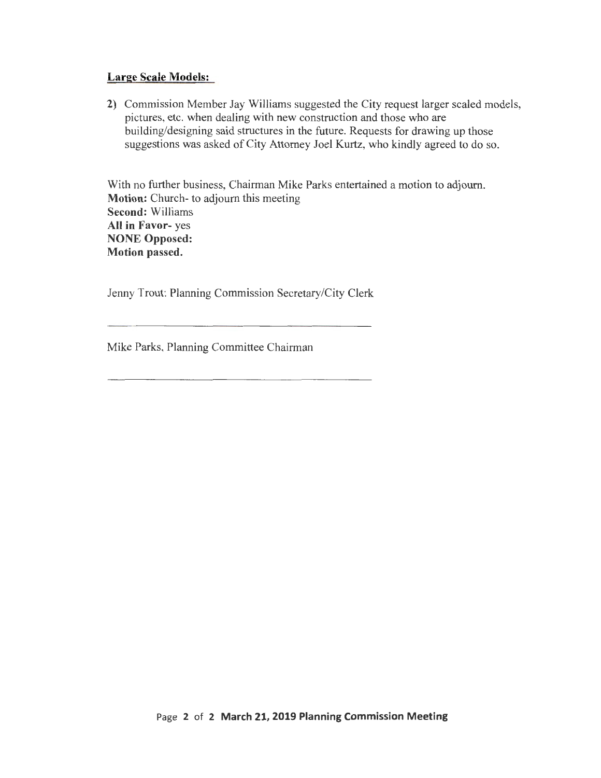#### **Large Scale Models:**

**2)** Commission Member Jay Williams suggested the City request larger scaled models, pictures, etc. when dealing with new construction and those who are building/designing said structures in the future. Requests for drawing up those suggestions was asked of City Attorney Joel Kurtz, who kindly agreed to do so.

With no further business, Chairman Mike Parks entertained a motion to adjourn. **Motion:** Church- to adjourn this meeting **Second:** Williams **All in Favor-** yes **NONE Opposed: Motion passed.** 

Jenny Trout: Planning Commission Secretary/City Clerk

Mike Parks, Planning Committee Chairman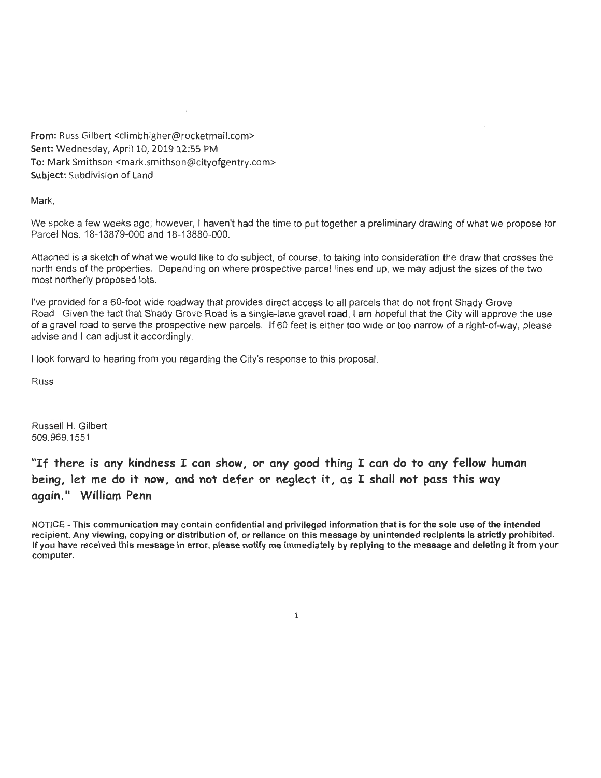From: Russ Gilbert <climbhigher@rocketmail.com> Sent: Wednesday, April 10, 2019 12:55 PM To: Mark Smithson <mark.smithson@cityofgentry.com> Subject: Subdivision of Land

Mark,

We spoke a few weeks ago; however, I haven't had the time to put together a preliminary drawing of what we propose for Parcel Nos. 18-13879-000 and 18-13880-000.

Attached is a sketch of what we would like to do subject, of course, to taking into consideration the draw that crosses the north ends of the properties. Depending on where prospective parcel lines end up, we may adjust the sizes of the two most northerly proposed lots.

I've provided for a 60-foot wide roadway that provides direct access to all parcels that do not front Shady Grove Road. Given the fact that Shady Grove Road is a single-lane gravel road, I am hopeful that the City will approve the use of a gravel road to serve the prospective new parcels. If 60 feet is either too wide or too narrow of a right-of-way, please advise and I can adjust it accordingly.

I look forward to hearing from you regarding the City's response to this proposal.

Russ

Russell H. Gilbert 509.969.1551

"If there is any kindness I can show, or any good thing I can do to any fellow human being, let me do it now, and not defer or neglect it, as I shall not pass this way again." William Penn

NOTICE -This communication may contain confidential and privileged information that is for the sole use of the intended recipient. Any viewing, copying or distribution of, or reliance on this message by unintended recipients is strictly prohibited. If you have received this message in error, please notify me immediately by replying to the message and deleting it from your computer.

1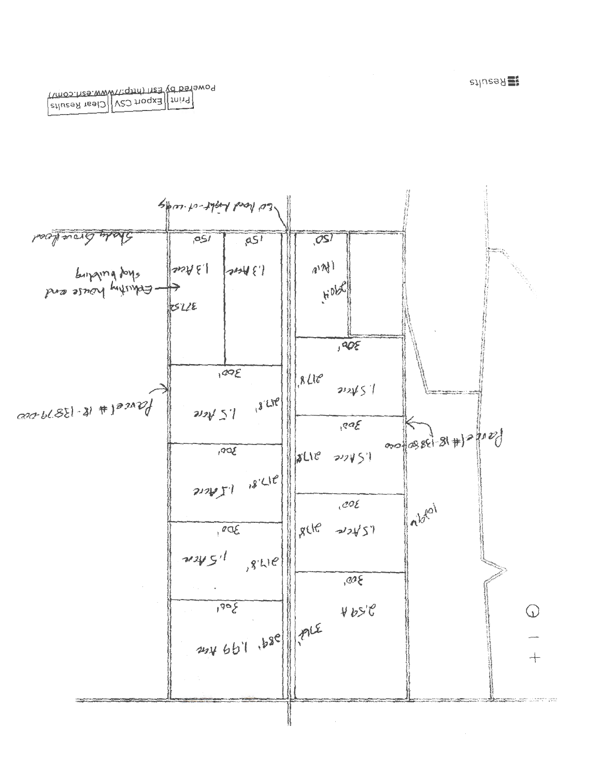

stluesd resid V20 hogx3 third

s<sub>1|</sub>nsa } 출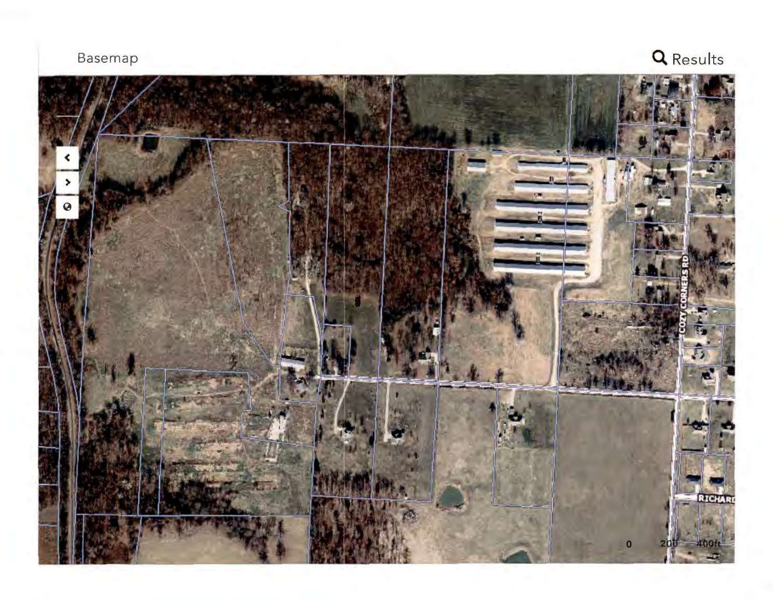Basemap **Q** Results